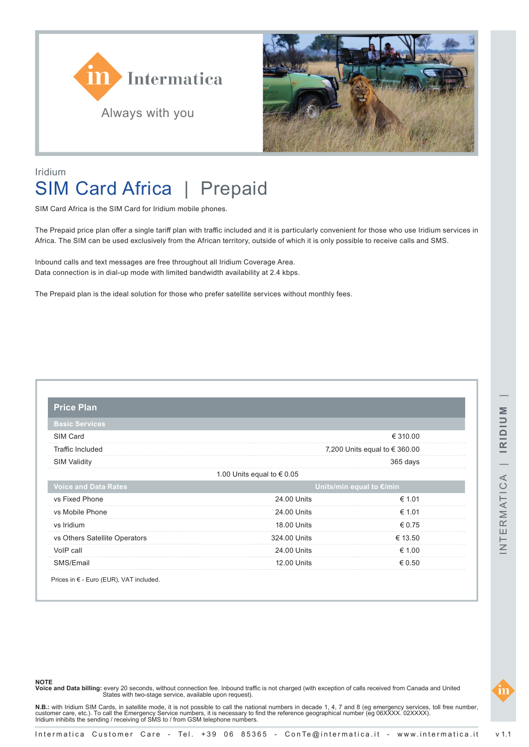



## Iridium SIM Card Africa | Prepaid

SIM Card Africa is the SIM Card for Iridium mobile phones.

The Prepaid price plan offer a single tariff plan with traffic included and it is particularly convenient for those who use Iridium services in Africa. The SIM can be used exclusively from the African territory, outside of which it is only possible to receive calls and SMS.

Inbound calls and text messages are free throughout all Iridium Coverage Area. Data connection is in dial-up mode with limited bandwidth availability at 2.4 kbps.

The Prepaid plan is the ideal solution for those who prefer satellite services without monthly fees.

| <b>Basic Services</b>         |                               |          |
|-------------------------------|-------------------------------|----------|
| SIM Card                      |                               | € 310.00 |
| <b>Traffic Included</b>       | 7,200 Units equal to € 360.00 |          |
| <b>SIM Validity</b>           | 365 days                      |          |
|                               | 1.00 Units equal to € 0.05    |          |
| <b>Voice and Data Rates</b>   | Units/min equal to €/min      |          |
| vs Fixed Phone                | 24.00 Units                   | € 1.01   |
| vs Mobile Phone               | 24.00 Units                   | € 1.01   |
| vs Iridium                    | <b>18.00 Units</b>            | € 0.75   |
| vs Others Satellite Operators | 324.00 Units                  | € 13.50  |
| VoIP call                     | 24.00 Units                   | € 1.00   |
| SMS/Email                     | 12.00 Units                   | € 0.50   |

Prices in € - Euro (EUR), VAT included.

**NOTE**<br>Voice and Data billing: every 20 seconds, without connection fee. Inbound traffic is not charged (with exception of calls received from Canada and United<br>States with two-stage service, available upon request).

**N.B.:** with Iridium SIM Cards, in satellite mode, it is not possible to call the national numbers in decade 1, 4, 7 and 8 (eg emergency services, toll free number, customer care, etc.). To call the Emergency Service numbers, it is necessary to find the reference geographical number (eg 06XXXX. 02XXXX).<br>Iridium inhibits the sending / receiving of SMS to / from GSM telephone numbers.